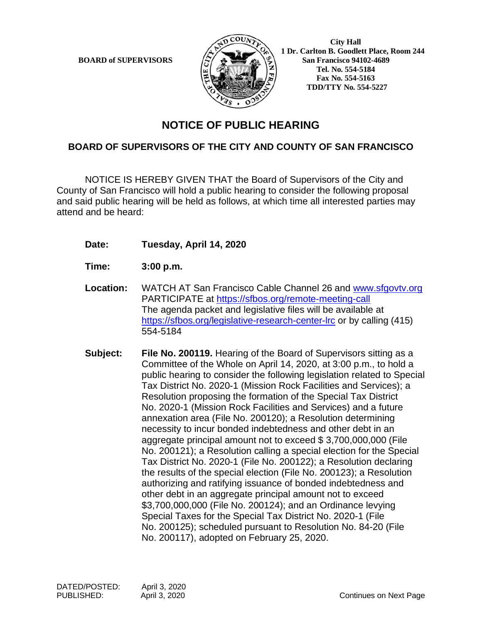

 **1 Dr. Carlton B. Goodlett Place, Room 244 BOARD of SUPERVISORS**  $\left(\frac{S}{I}\right)$   $\oplus$   $\left(\frac{S}{I}\right)$  San Francisco 94102-4689  **Tel. No. 554-5184 Fax No. 554-5163 TDD/TTY No. 554-5227**

## **NOTICE OF PUBLIC HEARING**

## **BOARD OF SUPERVISORS OF THE CITY AND COUNTY OF SAN FRANCISCO**

NOTICE IS HEREBY GIVEN THAT the Board of Supervisors of the City and County of San Francisco will hold a public hearing to consider the following proposal and said public hearing will be held as follows, at which time all interested parties may attend and be heard:

- **Date: Tuesday, April 14, 2020**
- **Time: 3:00 p.m.**
- **Location:** WATCH AT San Francisco Cable Channel 26 and [www.sfgovtv.org](http://www.sfgovtv.org/) PARTICIPATE at<https://sfbos.org/remote-meeting-call> The agenda packet and legislative files will be available at <https://sfbos.org/legislative-research-center-lrc> or by calling (415) 554-5184
- **Subject: File No. 200119.** Hearing of the Board of Supervisors sitting as a Committee of the Whole on April 14, 2020, at 3:00 p.m., to hold a public hearing to consider the following legislation related to Special Tax District No. 2020-1 (Mission Rock Facilities and Services); a Resolution proposing the formation of the Special Tax District No. 2020-1 (Mission Rock Facilities and Services) and a future annexation area (File No. 200120); a Resolution determining necessity to incur bonded indebtedness and other debt in an aggregate principal amount not to exceed \$ 3,700,000,000 (File No. 200121); a Resolution calling a special election for the Special Tax District No. 2020-1 (File No. 200122); a Resolution declaring the results of the special election (File No. 200123); a Resolution authorizing and ratifying issuance of bonded indebtedness and other debt in an aggregate principal amount not to exceed \$3,700,000,000 (File No. 200124); and an Ordinance levying Special Taxes for the Special Tax District No. 2020-1 (File No. 200125); scheduled pursuant to Resolution No. 84-20 (File No. 200117), adopted on February 25, 2020.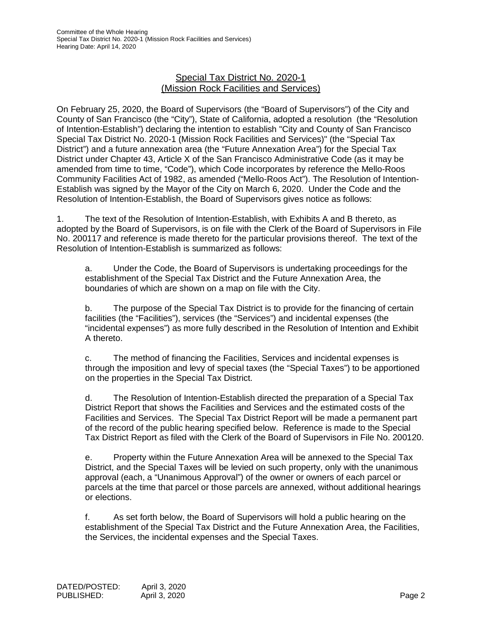### Special Tax District No. 2020-1 (Mission Rock Facilities and Services)

On February 25, 2020, the Board of Supervisors (the "Board of Supervisors") of the City and County of San Francisco (the "City"), State of California, adopted a resolution (the "Resolution of Intention-Establish") declaring the intention to establish "City and County of San Francisco Special Tax District No. 2020-1 (Mission Rock Facilities and Services)" (the "Special Tax District") and a future annexation area (the "Future Annexation Area") for the Special Tax District under Chapter 43, Article X of the San Francisco Administrative Code (as it may be amended from time to time, "Code"), which Code incorporates by reference the Mello-Roos Community Facilities Act of 1982, as amended ("Mello-Roos Act"). The Resolution of Intention-Establish was signed by the Mayor of the City on March 6, 2020. Under the Code and the Resolution of Intention-Establish, the Board of Supervisors gives notice as follows:

1. The text of the Resolution of Intention-Establish, with Exhibits A and B thereto, as adopted by the Board of Supervisors, is on file with the Clerk of the Board of Supervisors in File No. 200117 and reference is made thereto for the particular provisions thereof. The text of the Resolution of Intention-Establish is summarized as follows:

a. Under the Code, the Board of Supervisors is undertaking proceedings for the establishment of the Special Tax District and the Future Annexation Area, the boundaries of which are shown on a map on file with the City.

b. The purpose of the Special Tax District is to provide for the financing of certain facilities (the "Facilities"), services (the "Services") and incidental expenses (the "incidental expenses") as more fully described in the Resolution of Intention and Exhibit A thereto.

c. The method of financing the Facilities, Services and incidental expenses is through the imposition and levy of special taxes (the "Special Taxes") to be apportioned on the properties in the Special Tax District.

d. The Resolution of Intention-Establish directed the preparation of a Special Tax District Report that shows the Facilities and Services and the estimated costs of the Facilities and Services. The Special Tax District Report will be made a permanent part of the record of the public hearing specified below. Reference is made to the Special Tax District Report as filed with the Clerk of the Board of Supervisors in File No. 200120.

e. Property within the Future Annexation Area will be annexed to the Special Tax District, and the Special Taxes will be levied on such property, only with the unanimous approval (each, a "Unanimous Approval") of the owner or owners of each parcel or parcels at the time that parcel or those parcels are annexed, without additional hearings or elections.

f. As set forth below, the Board of Supervisors will hold a public hearing on the establishment of the Special Tax District and the Future Annexation Area, the Facilities, the Services, the incidental expenses and the Special Taxes.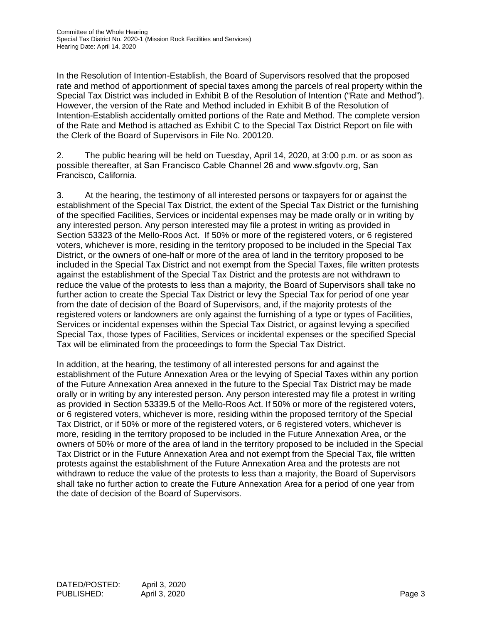In the Resolution of Intention-Establish, the Board of Supervisors resolved that the proposed rate and method of apportionment of special taxes among the parcels of real property within the Special Tax District was included in Exhibit B of the Resolution of Intention ("Rate and Method"). However, the version of the Rate and Method included in Exhibit B of the Resolution of Intention-Establish accidentally omitted portions of the Rate and Method. The complete version of the Rate and Method is attached as Exhibit C to the Special Tax District Report on file with the Clerk of the Board of Supervisors in File No. 200120.

2. The public hearing will be held on Tuesday, April 14, 2020, at 3:00 p.m. or as soon as possible thereafter, at San Francisco Cable Channel 26 and www.sfgovtv.org, San Francisco, California.

3. At the hearing, the testimony of all interested persons or taxpayers for or against the establishment of the Special Tax District, the extent of the Special Tax District or the furnishing of the specified Facilities, Services or incidental expenses may be made orally or in writing by any interested person. Any person interested may file a protest in writing as provided in Section 53323 of the Mello-Roos Act. If 50% or more of the registered voters, or 6 registered voters, whichever is more, residing in the territory proposed to be included in the Special Tax District, or the owners of one-half or more of the area of land in the territory proposed to be included in the Special Tax District and not exempt from the Special Taxes, file written protests against the establishment of the Special Tax District and the protests are not withdrawn to reduce the value of the protests to less than a majority, the Board of Supervisors shall take no further action to create the Special Tax District or levy the Special Tax for period of one year from the date of decision of the Board of Supervisors, and, if the majority protests of the registered voters or landowners are only against the furnishing of a type or types of Facilities, Services or incidental expenses within the Special Tax District, or against levying a specified Special Tax, those types of Facilities, Services or incidental expenses or the specified Special Tax will be eliminated from the proceedings to form the Special Tax District.

In addition, at the hearing, the testimony of all interested persons for and against the establishment of the Future Annexation Area or the levying of Special Taxes within any portion of the Future Annexation Area annexed in the future to the Special Tax District may be made orally or in writing by any interested person. Any person interested may file a protest in writing as provided in Section 53339.5 of the Mello-Roos Act. If 50% or more of the registered voters, or 6 registered voters, whichever is more, residing within the proposed territory of the Special Tax District, or if 50% or more of the registered voters, or 6 registered voters, whichever is more, residing in the territory proposed to be included in the Future Annexation Area, or the owners of 50% or more of the area of land in the territory proposed to be included in the Special Tax District or in the Future Annexation Area and not exempt from the Special Tax, file written protests against the establishment of the Future Annexation Area and the protests are not withdrawn to reduce the value of the protests to less than a majority, the Board of Supervisors shall take no further action to create the Future Annexation Area for a period of one year from the date of decision of the Board of Supervisors.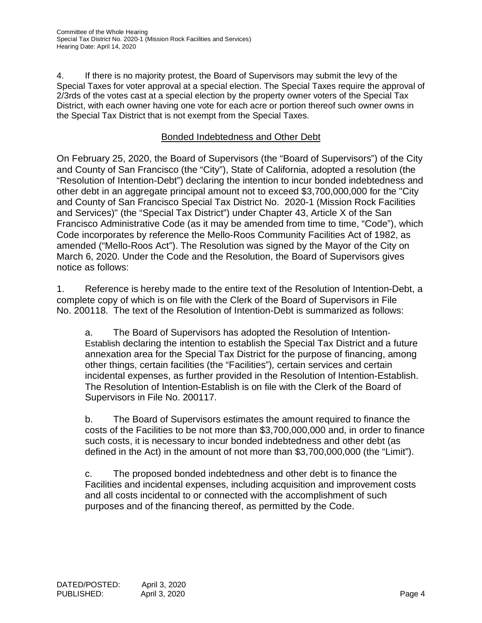4. If there is no majority protest, the Board of Supervisors may submit the levy of the Special Taxes for voter approval at a special election. The Special Taxes require the approval of 2/3rds of the votes cast at a special election by the property owner voters of the Special Tax District, with each owner having one vote for each acre or portion thereof such owner owns in the Special Tax District that is not exempt from the Special Taxes.

## Bonded Indebtedness and Other Debt

On February 25, 2020, the Board of Supervisors (the "Board of Supervisors") of the City and County of San Francisco (the "City"), State of California, adopted a resolution (the "Resolution of Intention-Debt") declaring the intention to incur bonded indebtedness and other debt in an aggregate principal amount not to exceed \$3,700,000,000 for the "City and County of San Francisco Special Tax District No. 2020-1 (Mission Rock Facilities and Services)" (the "Special Tax District") under Chapter 43, Article X of the San Francisco Administrative Code (as it may be amended from time to time, "Code"), which Code incorporates by reference the Mello-Roos Community Facilities Act of 1982, as amended ("Mello-Roos Act"). The Resolution was signed by the Mayor of the City on March 6, 2020. Under the Code and the Resolution, the Board of Supervisors gives notice as follows:

1. Reference is hereby made to the entire text of the Resolution of Intention-Debt, a complete copy of which is on file with the Clerk of the Board of Supervisors in File No. 200118. The text of the Resolution of Intention-Debt is summarized as follows:

a. The Board of Supervisors has adopted the Resolution of Intention-Establish declaring the intention to establish the Special Tax District and a future annexation area for the Special Tax District for the purpose of financing, among other things, certain facilities (the "Facilities")*,* certain services and certain incidental expenses, as further provided in the Resolution of Intention-Establish. The Resolution of Intention-Establish is on file with the Clerk of the Board of Supervisors in File No. 200117.

b. The Board of Supervisors estimates the amount required to finance the costs of the Facilities to be not more than \$3,700,000,000 and, in order to finance such costs, it is necessary to incur bonded indebtedness and other debt (as defined in the Act) in the amount of not more than \$3,700,000,000 (the "Limit").

c. The proposed bonded indebtedness and other debt is to finance the Facilities and incidental expenses, including acquisition and improvement costs and all costs incidental to or connected with the accomplishment of such purposes and of the financing thereof, as permitted by the Code.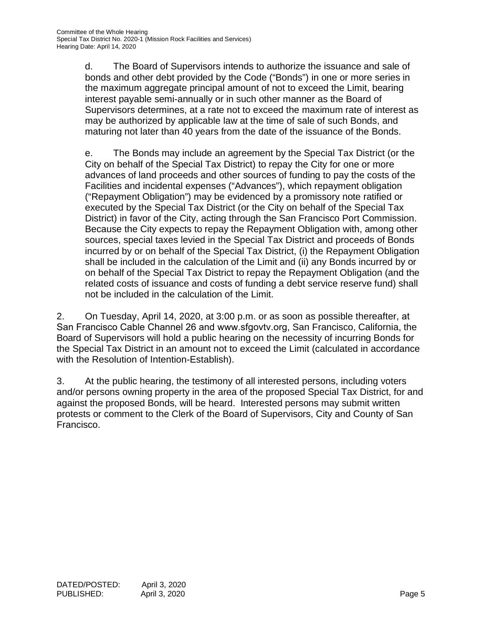d. The Board of Supervisors intends to authorize the issuance and sale of bonds and other debt provided by the Code ("Bonds") in one or more series in the maximum aggregate principal amount of not to exceed the Limit, bearing interest payable semi-annually or in such other manner as the Board of Supervisors determines, at a rate not to exceed the maximum rate of interest as may be authorized by applicable law at the time of sale of such Bonds, and maturing not later than 40 years from the date of the issuance of the Bonds.

e. The Bonds may include an agreement by the Special Tax District (or the City on behalf of the Special Tax District) to repay the City for one or more advances of land proceeds and other sources of funding to pay the costs of the Facilities and incidental expenses ("Advances"), which repayment obligation ("Repayment Obligation") may be evidenced by a promissory note ratified or executed by the Special Tax District (or the City on behalf of the Special Tax District) in favor of the City, acting through the San Francisco Port Commission. Because the City expects to repay the Repayment Obligation with, among other sources, special taxes levied in the Special Tax District and proceeds of Bonds incurred by or on behalf of the Special Tax District, (i) the Repayment Obligation shall be included in the calculation of the Limit and (ii) any Bonds incurred by or on behalf of the Special Tax District to repay the Repayment Obligation (and the related costs of issuance and costs of funding a debt service reserve fund) shall not be included in the calculation of the Limit.

2. On Tuesday, April 14, 2020, at 3:00 p.m. or as soon as possible thereafter, at San Francisco Cable Channel 26 and www.sfgovtv.org, San Francisco, California, the Board of Supervisors will hold a public hearing on the necessity of incurring Bonds for the Special Tax District in an amount not to exceed the Limit (calculated in accordance with the Resolution of Intention-Establish).

3. At the public hearing, the testimony of all interested persons, including voters and/or persons owning property in the area of the proposed Special Tax District, for and against the proposed Bonds, will be heard. Interested persons may submit written protests or comment to the Clerk of the Board of Supervisors, City and County of San Francisco.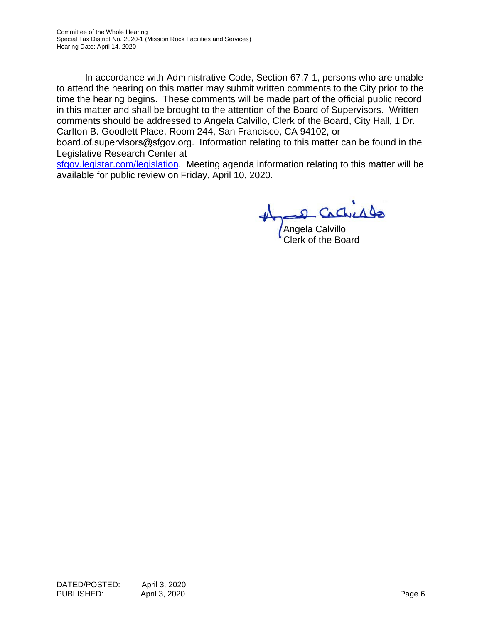In accordance with Administrative Code, Section 67.7-1, persons who are unable to attend the hearing on this matter may submit written comments to the City prior to the time the hearing begins. These comments will be made part of the official public record in this matter and shall be brought to the attention of the Board of Supervisors. Written comments should be addressed to Angela Calvillo, Clerk of the Board, City Hall, 1 Dr. Carlton B. Goodlett Place, Room 244, San Francisco, CA 94102, or

board.of.supervisors@sfgov.org. Information relating to this matter can be found in the [Legislative Research Center a](https://sfgov.legistar.com/legislation.aspx)t

sfgov.legistar.com/legislation. Meeting agenda information relating to this matter will be available for public review on Friday, April 10, 2020.

Angela Calvillo Clerk of the Board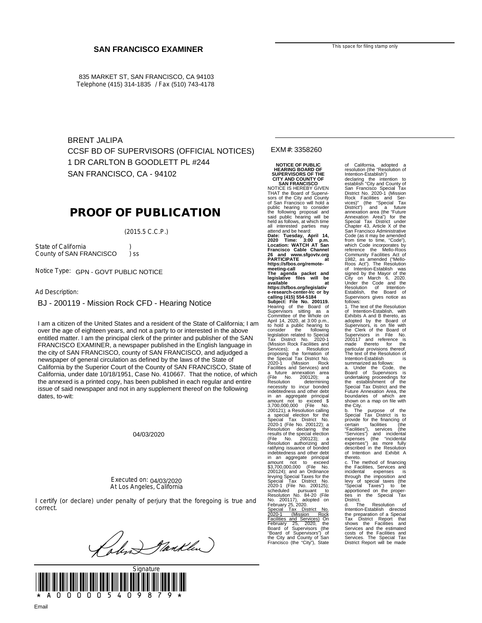835 MARKET ST, SAN FRANCISCO, CA 94103 Telephone (415) 314-1835 / Fax (510) 743-4178

BRENT JALIPA CCSF BD OF SUPERVISORS (OFFICIAL NOTICES) 1 DR CARLTON B GOODLETT PL #244 SAN FRANCISCO, CA - 94102

## **PROOF OF PUBLICATION**

(2015.5 C.C.P.)

State of California (b)<br>County of SAN FRANCISCO (b) ss County of SAN FRANCISCO ) ss

Notice Type: GPN - GOVT PUBLIC NOTICE

Ad Description:

BJ - 200119 - Mission Rock CFD - Hearing Notice

over the age of eignieen years, and not a party to or interested in the above<br>entitled matter. I am the principal clerk of the printer and publisher of the SAN of the age of the age of the age of the age of the and not a particle in the above and in the above and in the above and in FRANCISCO EXAMINER, a newspaper published in the English language in the situation of the printer and published in the english language in the city of SAN FRANCISCO, county of SAN FRANCISCO, and adjudged a<br>newspaper of general simulation as defined by the laws of the State of language in the City of City of Santa Ana, and a newspaper of  $\alpha$  is  $\alpha$  newspaper of general and  $\alpha$ California by the Superior Court of the County of SAN FRANCISCO, State of California by the Superior Court of the County of SAN FRANCISCO, State of California, under date 10/18/1951, Case No. 410667. That the notice, of which The annexed is a printed copy, has been published in each regular and entire issue of said newspaper and not in any supplement thereof on the following dates, to-wit: I am a citizen of the United States and a resident of the State of California; I am over the age of eighteen years, and not a party to or interested in the above newspaper of general circulation as defined by the laws of the State of the annexed is a printed copy, has been published in each regular and entire

04/03/2020

Executed on: 04/03/2020 At Los Angeles, California

I certify (or declare) under penalty of perjury that the foregoing is true and correct.

Jankley



#### EXM#: 3358260

**NOTICE OF PUBLIC HEARING BOARD OF SUPERVISORS OF THE CITY AND COUNTY OF SAN FRANCISCO**

NOTICE IS HEREBY GIVEN THAT the Board of Supervi-sors of the City and County of San Francisco will hold a public hearing to consider the following proposal and said public hearing will be held as follows, at which time all interested parties may attend and be heard: **Date: Tuesday, April 14, 2020 Time: 3:00 p.m. Location: WATCH AT San Francisco Cable Channel 26 and www.sfgovtv.org PARTICIPATE at https://sfbos.org/remotemeeting-call The agenda packet and legislative files will be available at https://sfbos.org/legislativ e-research-center-lrc or by calling (415) 554-5184 Subject: File No. 200119.** Hearing of the Board of<br>Supervisors sitting as a<br>April 14, 2020, at 3:00 p.m.,<br>to hold a public hearing to<br>consider the following<br>eigislation related to Special<br>Tax District No. 2020-1 (Mission Rock Facilities and Services); a Resolution radiums and Services) and<br>a future annexation area<br>a future annexation area<br>fields (File No. 200120); a a<br>recessity to incur bonded<br>in encessity to incur bonded<br>in an aggregate principal<br>amount not to exceed \$ 3,700,000,00 levying Special Taxes for the Special Tax District No. 2020-1 (File No. 200125); scheduled pursuant to Resolution No. 84-20 (File

No. 200117), adopted on<br>February 25, 2020.<br><u>Special Tax District No.</u> Special Tax District No.<br>
2020-1 (Mission Rock Facilities and Services) On<br>
February 25, 2020, the<br>
Board of Supervisors (the "Board of Supervisors") of<br>
"Board of Supervisors") of the City"), State<br>
Francisco (the "City") of California, adopted a resolution (the "Resolution of

Intention-Establish")<br>declaring the intention to<br>establish "City and County of<br>San Francisco Special Tax<br>District No. 2020-1 (Mission<br>Rock Facilities and Ser-<br>vices)" (the "Special Tax<br>District") and a future<br>annexation ar Annexation Area") for the Special Tax District under Chapter 43, Article X of the San Francisco Administrative Code (as it may be amended<br>trom time to time, "Code"),<br>reference the Mello-Roos<br>Community Facilities Act of<br>1982, as amended ("Mello-<br>1982, as amended ("Mello-<br>Roos Act"). The Resolution of Intention-Establish was signed by the Mayor of the City on March 6, 2020. Under the Code and the Resolution of Intention-<br>Fstablish the Board of Establish, the Board of Supervisors gives notice as

follows:<br>1. The text of the Resolution 1. The text of the Resolution<br>of Intention-Establish, with<br>Exhibits A and B thereto, as<br>Supervisors, is on file with<br>Supervisors, is on file with<br>Supervisors, in File No.<br>200117 and reference is<br>200117 and reference is<br>par

Internuon-Establishin<br>
summarized as follows:<br>
a. Under the Code, the<br>
Board of Supervisors is<br>
undertaking proceedings for<br>
the establishment of the<br>
undertaking proceedings for<br>
the City.<br>
Special Tax District and the<br>
b

through the imposition and levy of special taxes (the "Special Taxes") to be apportioned on the properties in the Special Tax

District. d. The Resolution of Intention-Establish directed the preparation of a Special<br>Tax District Report that<br>Services and the estimated<br>costs of the Facilities and<br>Costs of the Facilities and<br>Services. The Special Tax<br>District Report will be made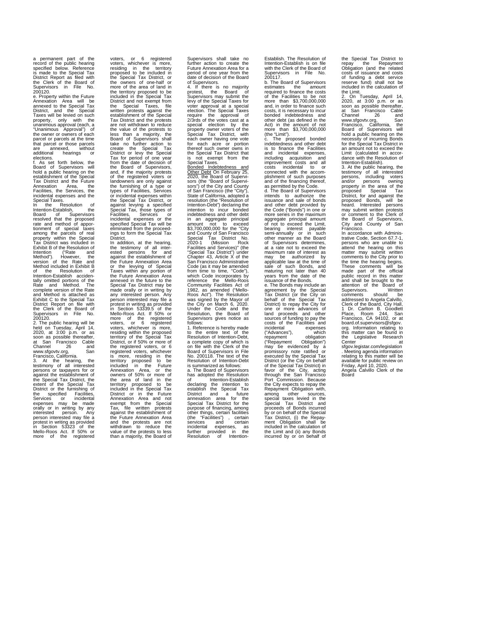a permanent part of the record of the public hearing specified below. Reference is made to the Special Tax District Report as filed with the Clerk of the Board of Supervisors in File No. 200120.

e. Property within the Future Annexation Area will be annexed to the Special Tax District, and the Special Taxes will be levied on such property, only with the unanimous approval (each, a "Unanimous Approval") of<br>the owner or owners of each parcel or parcels at the time that parcel or those parcels are annexed, without<br>additional hearings or  $hearing$ 

elections. f. As set forth below, the Board of Supervisors will hold a public hearing on the establishment of the Special Tax District and the Future Annexation Area, the Facilities, the Services, the incidental expenses and the

Special Taxes.<br>In the Resolution of<br>Intention-Establish, the<br>Board of Supervisors<br>resolved that the proposed<br>rate and method of appor-<br>tionment of special taxes<br>among the parcels of real<br>property within the Special<br>Exhibit Intention ("Rate and Method"). However, the version of the Rate and Method included in Exhibit B of the Resolution of Intention-Establish acciden-tally omitted portions of the Rate and Method. The complete version of the Rate and Method is attached as Exhibit C to the Special Tax District Report on file with the Clerk of the Board of Supervisors in File No. 200120.

2. The public hearing will be held on Tuesday, April 14, 2020, at 3:00 p.m. or as soon as possible thereafter, at San Francisco Cable

Channel 26<br>
www.sfgovtv.org, Sammel<br>
Francisco, California.<br>
S. At the hearing, the<br>
testimony of all interested<br>
testimony of all interested<br>
testimony of all interested<br>
testimony of all interested<br>
the Special Tax Distr

voters, or 6 registered voters, whichever is more, residing in the territory proposed to be included in the Special Tax District, or<br>the owners of one-half or the owners of one-half or more of the area of land in the territory proposed to be included in the Special Tax District and not exempt from the Special Taxes, file written protests against the establishment of the Special Tax District and the protests are not withdrawn to reduce the value of the protests to less than a majority, the Board of Supervisors shall take no further action to create the Special Tax District or levy the Special Tax for period of one year from the date of decision of the Board of Supervisors, and, if the majority protests of the registered voters or landowners are only against the furnishing of a type or types of Facilities, Services or incidental expenses within the Special Tax District, or against levying a specified Special Tax, those types of Facilities, Services or Facilities, Services or<br>incidental expenses or the specified Special Tax will be eliminated from the proceed-ings to form the Special Tax

District.<br>The addition, at the hearing,<br>the testimony of all inter-<br>ested persons for and<br>against the establishment of<br>the Future Annexation Area<br>Taxes within any portion of<br>Taxes within any portion of<br>annexation Area<br>Taxe made orally or in writing by any interested person. Any person interested may file a protest in writing as provided in Section 53339.5 of the Mello-Roos Act. If 50% or more of the registered voters, or 6 registered voters, whichever is more, residing within the proposed territory of the Special Tax District, or if 50% or more of the registered voters, or 6 registered voters, whichever registered volets, wickness<br>is more, residing in the<br>included in the included in the function and in the function<br>included in the Future and Solomon and the terminory proposed to be<br>included in the Special Tax<br>District or

Supervisors shall take no further action to create the Future Annexation Area for a period of one year from the date of decision of the Board<br>of Supervisors.

of Supervisors.<br>
4. If there is no majority<br>
protest, the Board of<br>
Supervisors may submit the<br>
levy of the Special Taxes for<br>
voter approval at a special<br>
election. The Special Taxes require the approval of 2/3rds of the votes cast at a special election by the property owner voters of the Special Tax District, with each owner having one vote for each acre or portion thereof such owner owns in the Special Tax District that<br>is not exempt from the is not exempt from the Special Taxes.

Bonded Indebtedness and<br>
Other Debt On February 25,<br>
2020, the Board of Supervi-<br>
sors (the "Board of Supervisors") of the City and County of San Francisco (the "City"), State of California, adopted a resolution (the "Resolution of Intention-Debt") declaring the intention to incur bonded indebtedness and other debt in an aggregate principal amount not to exceed \$3,700,000,000 for the "City and County of San Francisco Special Tax District No. 2020-1 (Mission Rock Facilities and Services)" (the "Special Tax District") under Chapter 43, Article X of the San Francisco Administrative Code (as it may be amended from time to time, "Code"), which Code incorporates by reference the Mello-Roos Community Facilities Act of 1982, as amended ("Mello-<br>Roos Act"). The Resolution<br>was signed by the Mayor of<br>the City on March 6, 2020.<br>Under the Code and the<br>Resolution, the Board of<br>Supervisors gives notice as follows:

1. Reference is hereby made to the entire text of the Resolution of Intention-Debt, a complete copy of which is on file with the Clerk of the Board of Supervisors in File

No. 2001 of the lead of the lead of Resolution of Intention-Debt<br>is summarized as follows:<br>a. The Board of Supervisors<br>has adopted the Resolution<br>of the Intention-Establish<br>declaring the intention to<br>establish the Special

Establish. The Resolution of Intention-Establish is on file with the Clerk of the Board of Supervisors in File No. 200117. b. The Board of Supervisors

estimates the amount<br>required to finance the costs of the Facilities to be not more than \$3,700,000,000 and, in order to finance such costs, it is necessary to incur bonded indebtedness and other debt (as defined in the Act) in the amount of not more than \$3,700,000,000 (the "Limit").

c. The proposed bonded indebtedness and other debt is to finance the Facilities and incidental expenses, including acquisition and improvement costs and all costs incidental to or connected with the accom-plishment of such purposes

and of the financing thereof, as permitted by the Code. d. The Board of Supervisors intends to authorize the issuance and sale of bonds and other debt provided by the Code ("Bonds") in one or more series in the maximum aggregate principal amount of not to exceed the Limit, bearing interest payable semi-annually or in such other manner as the Board of Supervisors determines, at a rate not to exceed the maximum rate of interest as may be authorized by applicable law at the time of sale of such Bonds, and maturing not later than 40 years from the date of the issuance of the Bonds. e. The Bonds may include an agreement by the Special Tax District (or the City on behalf of the Special Tax District) to repay the City for one or more advances of land proceeds and other sources of funding to pay the costs of the Facilities and booto of the redunneerent<br>incidental expenses<br>("Advances"). which ("Advances"), which

repayment obligation" ("Repayment obligation") revidenced by a executed by a executed by the Special Tax<br>executed by the Special Tax<br>executed by the Special Tax<br>of the Special Tax District() in District() or the City, acti

the Special Tax District to repay the Repayment Obligation (and the related costs of issuance and costs of funding a debt service reserve fund) shall not be included in the calculation of

the Limit. 2. On Tuesday, April 14, 2020, at 3:00 p.m. or as soon as possible thereafter, at San Francisco Cable Channel 26 and www.sfgovtv.org, San Francisco, California, the Board of Supervisors will hold a public hearing on the necessity of incurring Bonds for the Special Tax District in an amount not to exceed the Limit (calculated in accor-Limit (calculated in accordance with the Resolution of<br>Intention-Establish).

Intention-Establish). 3. At the public hearing, the testimony of all interested persons, including voters and/or persons owning property in the area of the proposed Special Tax District, for and against the proposed Bonds, will be heard. Interested persons may submit written protests or comment to the Clerk of the Board of Supervisors, City and County of San Francisco.

I rancisco.<br>In accordance with Administrative Code, Section 67.7-1, persons who are unable to attend the hearing on this matter may submit written comments to the City prior to the time the hearing begins. These comments will be made part of the official public record in this matter and shall be brought to the attention of the Board of attention of the Buara<br>Supervisors. Written<br>Abould be comments should be addressed to Angela Calvillo, Clerk of the Board, City Hall, 1 Dr. Carlton B. Goodlett Place, Room 244, San Francisco, CA 94102, or at board.of.supervisors@sfgov. org. Information relating to this matter can be found in the Legislative Research enter at<br>sfgov.legistar.com/legislation<br>relating to this matter will be<br>available for public review on<br>available for public review on<br>Friday, April 10, 2020.<br>Angela Calvillo Clerk of the<br>Board